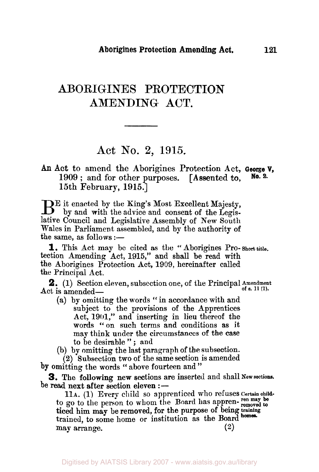## **ABORIGINES PROTECTION AMENDING ACT.**

## Act **No. 2, 1915.**

## **An Act to amend the Aborigines Protection Act, George V, <sup>1909</sup>**; **and for other purposes. [Assented to, No. 2. 15th February, 1915.]**

 $\mathbf{B}^{\text{E}}$  it enacted by the King's Most Excellent Majesty, by and with the advice and consent of the Legislative Council and Legislative Assembly of New South Wales in Parliament assembled, and by the authority of the same, as follows  $:=$ 

tection Amending Act, 1915," and shall be read with the Aborigines Protection Act, 1909, hereinafter called the Principal Act. **1.** This Act may be cited as the " Aborigines Pro- **short title.** 

Act is amended— **2.** (1) Section eleven, subsection one, of the Principal **Amendment of** *s.* **11 (1).** 

(a) by omitting the words " in accordance with and subject to the provisions of the Apprentices Act, 1901," and inserting in lieu thereof the words "on such terms and conditions as **it**  may think under the circumstances **of** the case to be desirable " ; and

(b) by omitting the last paragraph of the subsection.

**(2)** Subsection two of the same section is amended **by** omitting the words **"** above fourteen and "

be read next after section eleven  $:$   $-$ **3.** The following new sections are inserted and shall **New sections.** 

11a. (1) Every child so apprenticed who refuses **Certain child**to go to the person to whom the Board has appren-ren may be trained, to some home or institution as the Board ticed him may be removed, for the purpose **of** being **t raining**  may arrange. **(2)**